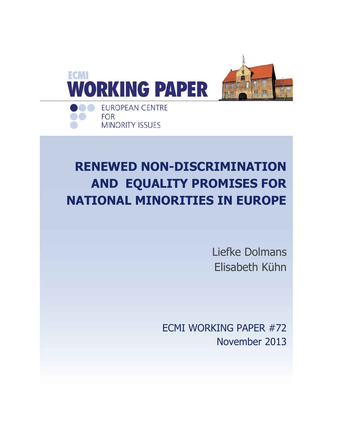

# **RENEWED NON-DISCRIMINATION AND EQUALITY PROMISES FOR NATIONAL MINORITIES IN EUROPE**

Liefke Dolmans Elisabeth Kühn

ECMI WORKING PAPER #72 November 2013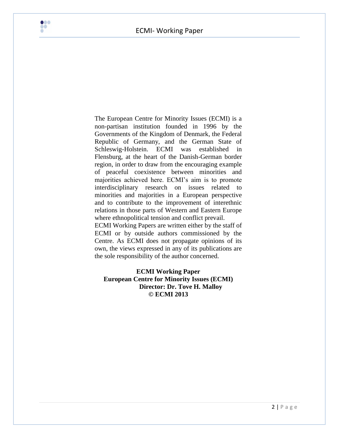ECMI- Working Paper



The European Centre for Minority Issues (ECMI) is a non-partisan institution founded in 1996 by the Governments of the Kingdom of Denmark, the Federal Republic of Germany, and the German State of Schleswig-Holstein. ECMI was established in Flensburg, at the heart of the Danish-German border region, in order to draw from the encouraging example of peaceful coexistence between minorities and majorities achieved here. ECMI"s aim is to promote interdisciplinary research on issues related to minorities and majorities in a European perspective and to contribute to the improvement of interethnic relations in those parts of Western and Eastern Europe where ethnopolitical tension and conflict prevail. ECMI Working Papers are written either by the staff of ECMI or by outside authors commissioned by the Centre. As ECMI does not propagate opinions of its own, the views expressed in any of its publications are

### **ECMI Working Paper European Centre for Minority Issues (ECMI) Director: Dr. Tove H. Malloy © ECMI 2013**

the sole responsibility of the author concerned.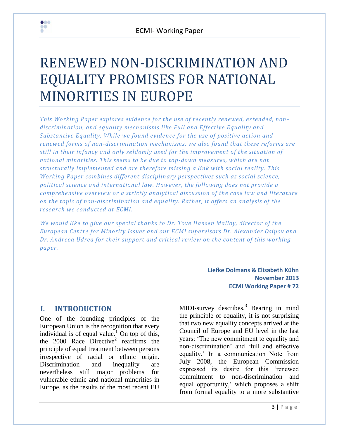# RENEWED NON-DISCRIMINATION AND EQUALITY PROMISES FOR NATIONAL MINORITIES IN EUROPE

*This Working Paper explores evidence for the use of recently renewed, extended, non discrimination, and equality mechanisms like Full and Effective Equality and Substantive Equality. While we found evidence for the use of positive action and renewed forms of non-discrimination mechanisms, we also found that these reforms are still in their infancy and only seldomly used for the improvement of the situation of national minorities. This seems to be due to top-down measures, which are not structurally implemented and are therefore missing a link with social reality. This Working Paper combines different disciplinary perspectives such as social science, political science and international law. However, the following does not provide a comprehensive overview or a strictly analytical discussion of the case law and literature on the topic of non-discrimination and equality. Rather, it offers an analysis of the research we conducted at ECMI.* 

*We would like to give our special thanks to Dr. Tove Hansen Malloy, director of the European Centre for Minority Issues and our ECMI supervisors Dr. Alexander Osipov and Dr. Andreea Udrea for their support and critical review on the content of this working paper.*

> **Liefke Dolmans & Elisabeth Kühn November 2013 ECMI Working Paper # 72**

## **I. INTRODUCTION**

000 **DO** 

One of the founding principles of the European Union is the recognition that every individual is of equal value.<sup>1</sup> On top of this, the  $2000$  Race Directive<sup>2</sup> reaffirms the principle of equal treatment between persons irrespective of racial or ethnic origin. Discrimination and inequality are nevertheless still major problems for vulnerable ethnic and national minorities in Europe, as the results of the most recent EU

MIDI-survey describes.<sup>3</sup> Bearing in mind the principle of equality, it is not surprising that two new equality concepts arrived at the Council of Europe and EU level in the last years: "The new commitment to equality and non-discrimination" and "full and effective equality." In a communication Note from July 2008, the European Commission expressed its desire for this "renewed commitment to non-discrimination and equal opportunity,' which proposes a shift from formal equality to a more substantive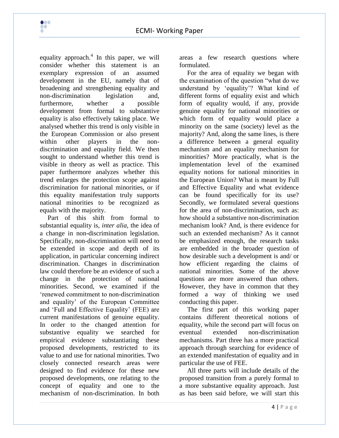equality approach.<sup>4</sup> In this paper, we will consider whether this statement is an exemplary expression of an assumed development in the EU, namely that of broadening and strengthening equality and non-discrimination legislation and, furthermore, whether a possible development from formal to substantive equality is also effectively taking place. We analysed whether this trend is only visible in the European Commission or also present within other players in the nondiscrimination and equality field. We then sought to understand whether this trend is visible in theory as well as practice. This paper furthermore analyzes whether this trend enlarges the protection scope against discrimination for national minorities, or if this equality manifestation truly supports national minorities to be recognized as equals with the majority.

 $\bullet\bullet\bullet$ ÇÕ

Part of this shift from formal to substantial equality is, *inter alia*, the idea of a change in non-discrimination legislation. Specifically, non-discrimination will need to be extended in scope and depth of its application, in particular concerning indirect discrimination. Changes in discrimination law could therefore be an evidence of such a change in the protection of national minorities. Second, we examined if the "renewed commitment to non-discrimination and equality" of the European Committee and "Full and Effective Equality" (FEE) are current manifestations of genuine equality. In order to the changed attention for substantive equality we searched for empirical evidence substantiating these proposed developments, restricted to its value to and use for national minorities. Two closely connected research areas were designed to find evidence for these new proposed developments, one relating to the concept of equality and one to the mechanism of non-discrimination. In both

areas a few research questions where formulated.

For the area of equality we began with the examination of the question "what do we understand by "equality"? What kind of different forms of equality exist and which form of equality would, if any, provide genuine equality for national minorities or which form of equality would place a minority on the same (society) level as the majority? And, along the same lines, is there a difference between a general equality mechanism and an equality mechanism for minorities? More practically, what is the implementation level of the examined equality notions for national minorities in the European Union? What is meant by Full and Effective Equality and what evidence can be found specifically for its use? Secondly, we formulated several questions for the area of non-discrimination, such as: how should a substantive non-discrimination mechanism look? And, is there evidence for such an extended mechanism? As it cannot be emphasized enough, the research tasks are embedded in the broader question of how desirable such a development is and/ or how efficient regarding the claims of national minorities. Some of the above questions are more answered than others. However, they have in common that they formed a way of thinking we used conducting this paper.

The first part of this working paper contains different theoretical notions of equality, while the second part will focus on eventual extended non-discrimination mechanisms. Part three has a more practical approach through searching for evidence of an extended manifestation of equality and in particular the use of FEE.

All three parts will include details of the proposed transition from a purely formal to a more substantive equality approach. Just as has been said before, we will start this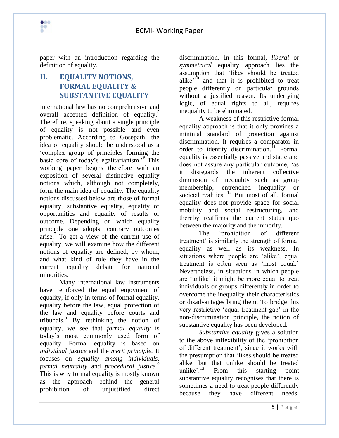

paper with an introduction regarding the definition of equality.

 $\bullet\bullet\bullet$ **DO** 

# **II. EQUALITY NOTIONS, FORMAL EQUALITY & SUBSTANTIVE EQUALITY**

International law has no comprehensive and overall accepted definition of equality.<sup>5</sup> Therefore, speaking about a single principle of equality is not possible and even problematic. According to Gosepath, the idea of equality should be understood as a "complex group of principles forming the basic core of today's egalitarianism.<sup>'6</sup> This working paper begins therefore with an exposition of several distinctive equality notions which, although not completely, form the main idea of equality. The equality notions discussed below are those of formal equality, substantive equality, equality of opportunities and equality of results or outcome. Depending on which equality principle one adopts, contrary outcomes arise.<sup> $\tau$ </sup> To get a view of the current use of equality, we will examine how the different notions of equality are defined, by whom, and what kind of role they have in the current equality debate for national minorities.

Many international law instruments have reinforced the equal enjoyment of equality, if only in terms of formal equality, equality before the law, equal protection of the law and equality before courts and tribunals.<sup>8</sup> By rethinking the notion of equality, we see that *formal equality* is today"s most commonly used form of equality. Formal equality is based on *individual justice* and the *merit principle.* It focuses on *equality among individuals, formal neutrality* and *procedural justice.<sup>9</sup>* This is why formal equality is mostly known as the approach behind the general prohibition of unjustified direct

discrimination. In this formal, *liberal* or *symmetrical* equality approach lies the assumption that "likes should be treated alike<sup> $10$ </sup> and that it is prohibited to treat people differently on particular grounds without a justified reason. Its underlying logic, of equal rights to all, requires inequality to be eliminated.

A weakness of this restrictive formal equality approach is that it only provides a minimal standard of protection against discrimination. It requires a comparator in order to identity discrimination.<sup>11</sup> Formal equality is essentially passive and static and does not assure any particular outcome, "as it disregards the inherent collective dimension of inequality such as group membership, entrenched inequality or societal realities.<sup>12</sup> But most of all, formal equality does not provide space for social mobility and social restructuring, and thereby reaffirms the current status quo between the majority and the minority.

The "prohibition of different treatment" is similarly the strength of formal equality as well as its weakness. In situations where people are 'alike', equal treatment is often seen as "most equal." Nevertheless, in situations in which people are "unlike" it might be more equal to treat individuals or groups differently in order to overcome the inequality their characteristics or disadvantages bring them. To bridge this very restrictive "equal treatment gap" in the non-discrimination principle, the notion of substantive equality has been developed.

*Substantive equality* gives a solution to the above inflexibility of the "prohibition of different treatment', since it works with the presumption that "likes should be treated alike, but that unlike should be treated unlike'.<sup>13</sup> From this starting point substantive equality recognises that there is sometimes a need to treat people differently because they have different needs.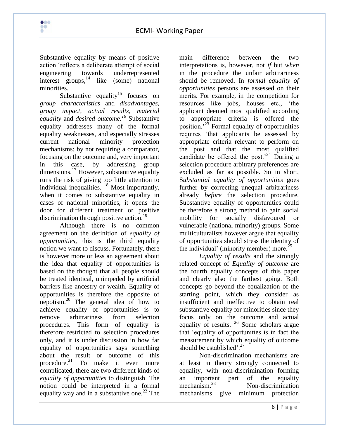

Substantive equality by means of positive action "reflects a deliberate attempt of social engineering towards underrepresented interest groups,  $\frac{14}{1}$  like (some) national minorities.

 $\bullet\bullet\bullet$ **DO** 

Substantive equality<sup>15</sup> focuses on *group characteristics* and *disadvantages, group impact, actual results, material equality* and *desired outcome.<sup>16</sup>* Substantive equality addresses many of the formal equality weaknesses, and especially stresses current national minority protection mechanisms: by not requiring a comparator, focusing on the outcome and, very important in this case, by addressing group dimensions.<sup>17</sup> However, substantive equality runs the risk of giving too little attention to individual inequalities. <sup>18</sup> Most importantly, when it comes to substantive equality in cases of national minorities, it opens the door for different treatment or positive discrimination through positive action.<sup>19</sup>

Although there is no common agreement on the definition of *equality of opportunities,* this is the third equality notion we want to discuss. Fortunately, there is however more or less an agreement about the idea that equality of opportunities is based on the thought that all people should be treated identical, unimpeded by artificial barriers like ancestry or wealth. Equality of opportunities is therefore the opposite of nepotism. $^{20}$  The general idea of how to achieve equality of opportunities is to remove arbitrariness from selection procedures. This form of equality is therefore restricted to selection procedures only, and it is under discussion in how far equality of opportunities says something about the result or outcome of this procedure. $21$  To make it even more complicated, there are two different kinds of *equality of opportunities* to distinguish. The notion could be interpreted in a formal equality way and in a substantive one.<sup>22</sup> The

main difference between the two interpretations is, however, not *if* but *when* in the procedure the unfair arbitrariness should be removed. In *formal equality of opportunities* persons are assessed on their merits. For example, in the competition for resources like jobs, houses etc., "the applicant deemed most qualified according to appropriate criteria is offered the position.<sup> $23$ </sup> Formal equality of opportunities requires "that applicants be assessed by appropriate criteria relevant to perform on the post and that the most qualified candidate be offered the post.<sup>24</sup> During a selection procedure arbitrary preferences are excluded as far as possible. So in short, S*ubstantial equality of opportunities* goes further by correcting unequal arbitrariness already *before* the selection procedure. Substantive equality of opportunities could be therefore a strong method to gain social mobility for socially disfavoured or vulnerable (national minority) groups. Some multiculturalists however argue that equality of opportunities should stress the identity of the individual' (minority member) more.<sup>25</sup>

*Equality of results* and the strongly related concept of *Equality of outcome* are the fourth equality concepts of this paper and clearly also the farthest going. Both concepts go beyond the equalization of the starting point, which they consider as insufficient and ineffective to obtain real substantive equality for minorities since they focus only on the outcome and actual equality of results.  $26$  Some scholars argue that "equality of opportunities is in fact the measurement by which equality of outcome should be established' $^{27}$ 

Non-discrimination mechanisms are at least in theory strongly connected to equality, with non-discrimination forming an important part of the equality<br>mechanism<sup>28</sup> Non-discrimination Non-discrimination. mechanisms give minimum protection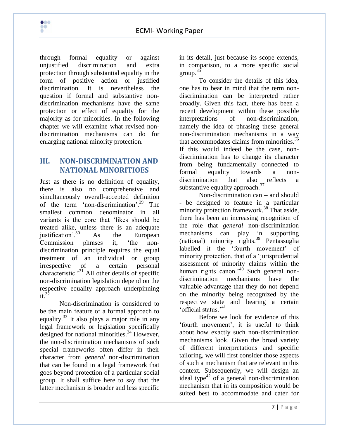through formal equality or against unjustified discrimination and extra protection through substantial equality in the form of positive action or justified discrimination. It is nevertheless the question if formal and substantive nondiscrimination mechanisms have the same protection or effect of equality for the majority as for minorities. In the following chapter we will examine what revised nondiscrimination mechanisms can do for enlarging national minority protection.

## **III. NON-DISCRIMINATION AND NATIONAL MINORITIOES**

Just as there is no definition of equality, there is also no comprehensive and simultaneously overall-accepted definition of the term 'non-discrimination'.<sup>29</sup> The smallest common denominator in all variants is the core that "likes should be treated alike, unless there is an adequate iustification'. $30$  As the European Commission phrases it, "the nondiscrimination principle requires the equal treatment of an individual or group irrespective of a certain personal characteristic. $^{31}$  All other details of specific non-discrimination legislation depend on the respective equality approach underpinning  $it^{32}$ 

Non-discrimination is considered to be the main feature of a formal approach to equality.<sup>33</sup> It also plays a major role in any legal framework or legislation specifically designed for national minorities. $34$  However, the non-discrimination mechanisms of such special frameworks often differ in their character from *general* non-discrimination that can be found in a legal framework that goes beyond protection of a particular social group. It shall suffice here to say that the latter mechanism is broader and less specific

in its detail, just because its scope extends, in comparison, to a more specific social group. $35$ 

To consider the details of this idea, one has to bear in mind that the term nondiscrimination can be interpreted rather broadly. Given this fact, there has been a recent development within these possible interpretations of non-discrimination, namely the idea of phrasing these general non-discrimination mechanisms in a way that accommodates claims from minorities.<sup>36</sup> If this would indeed be the case, nondiscrimination has to change its character from being fundamentally connected to formal equality towards a nondiscrimination that also reflects a substantive equality approach.<sup>37</sup>

Non-discrimination can – and should - be designed to feature in a particular minority protection framework.<sup>38</sup> That aside, there has been an increasing recognition of the role that *general* non-discrimination mechanisms can play in supporting (national) minority rights.<sup>39</sup> Pentassuglia labelled it the 'fourth movement' of minority protection, that of a "jurisprudential assessment of minority claims within the human rights canon.<sup>40</sup> Such general nondiscrimination mechanisms have the valuable advantage that they do not depend on the minority being recognized by the respective state and bearing a certain "official status."<sup>41</sup>

Before we look for evidence of this "fourth movement", it is useful to think about how exactly such non-discrimination mechanisms look. Given the broad variety of different interpretations and specific tailoring, we will first consider those aspects of such a mechanism that are relevant in this context. Subsequently, we will design an ideal type<sup>42</sup> of a general non-discrimination mechanism that in its composition would be suited best to accommodate and cater for

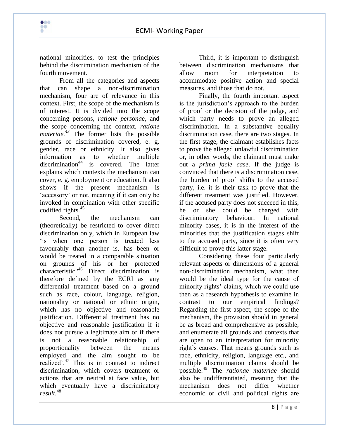

national minorities, to test the principles behind the discrimination mechanism of the fourth movement.

From all the categories and aspects that can shape a non-discrimination mechanism, four are of relevance in this context. First, the scope of the mechanism is of interest. It is divided into the scope concerning persons, *ratione personae,* and the scope concerning the context, *ratione materiae.<sup>43</sup>* The former lists the possible grounds of discrimination covered, e. g. gender, race or ethnicity. It also gives information as to whether multiple discrimination<sup>44</sup> is covered. The latter explains which contexts the mechanism can cover, e. g. employment or education. It also shows if the present mechanism is "accessory" or not, meaning if it can only be invoked in combination with other specific codified rights.<sup>45</sup>

Second, the mechanism can (theoretically) be restricted to cover direct discrimination only, which in European law "is when one person is treated less favourably than another is, has been or would be treated in a comparable situation on grounds of his or her protected characteristic.'<sup>46</sup> Direct discrimination is therefore defined by the ECRI as 'any differential treatment based on a ground such as race, colour, language, religion, nationality or national or ethnic origin, which has no objective and reasonable justification. Differential treatment has no objective and reasonable justification if it does not pursue a legitimate aim or if there is not a reasonable relationship of proportionality between the means employed and the aim sought to be realized".<sup>47</sup> This is in contrast to indirect discrimination, which covers treatment or actions that are neutral at face value, but which eventually have a discriminatory *result*. 48

Third, it is important to distinguish between discrimination mechanisms that allow room for interpretation to accommodate positive action and special measures, and those that do not.

Finally, the fourth important aspect is the jurisdiction"s approach to the burden of proof or the decision of the judge, and which party needs to prove an alleged discrimination. In a substantive equality discrimination case, there are two stages. In the first stage, the claimant establishes facts to prove the alleged unlawful discrimination or, in other words, the claimant must make out a *prima facie case*. If the judge is convinced that there is a discrimination case, the burden of proof shifts to the accused party, i.e. it is their task to prove that the different treatment was justified. However, if the accused party does not succeed in this, he or she could be charged with discriminatory behaviour. In national minority cases, it is in the interest of the minorities that the justification stages shift to the accused party, since it is often very difficult to prove this latter stage.

Considering these four particularly relevant aspects or dimensions of a general non-discrimination mechanism, what then would be the ideal type for the cause of minority rights' claims, which we could use then as a research hypothesis to examine in contrast to our empirical findings? Regarding the first aspect, the scope of the mechanism, the provision should in general be as broad and comprehensive as possible, and enumerate all grounds and contexts that are open to an interpretation for minority right's causes. That means grounds such as race, ethnicity, religion, language etc., and multiple discrimination claims should be possible.<sup>49</sup> The *rationae materiae* should also be undifferentiated, meaning that the mechanism does not differ whether economic or civil and political rights are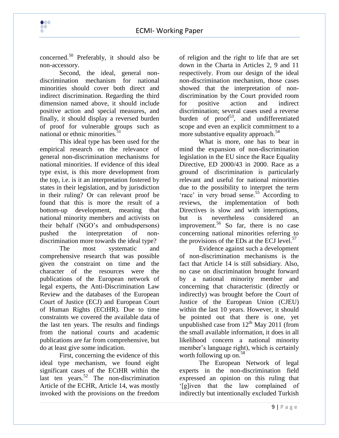

concerned.<sup>50</sup> Preferably, it should also be non-accessory.

Second, the ideal, general nondiscrimination mechanism for national minorities should cover both direct and indirect discrimination. Regarding the third dimension named above, it should include positive action and special measures, and finally, it should display a reversed burden of proof for vulnerable groups such as national or ethnic minorities.<sup>51</sup>

This ideal type has been used for the empirical research on the relevance of general non-discrimination mechanisms for national minorities. If evidence of this ideal type exist, is this more development from the top, i.e. is it an interpretation fostered by states in their legislation, and by jurisdiction in their ruling? Or can relevant proof be found that this is more the result of a bottom-up development, meaning that national minority members and activists on their behalf (NGO"s and ombudspersons) pushed the interpretation of nondiscrimination more towards the ideal type?

The most systematic and comprehensive research that was possible given the constraint on time and the character of the resources were the publications of the European network of legal experts, the Anti-Discrimination Law Review and the databases of the European Court of Justice (ECJ) and European Court of Human Rights (ECtHR). Due to time constraints we covered the available data of the last ten years. The results and findings from the national courts and academic publications are far from comprehensive, but do at least give some indication.

First, concerning the evidence of this ideal type mechanism, we found eight significant cases of the ECtHR within the last ten years.<sup>52</sup> The non-discrimination Article of the ECHR, Article 14, was mostly invoked with the provisions on the freedom

of religion and the right to life that are set down in the Charta in Articles 2, 9 and 11 respectively. From our design of the ideal non-discrimination mechanism, those cases showed that the interpretation of nondiscrimination by the Court provided room for positive action and indirect discrimination; several cases used a reverse burden of  $proof<sup>53</sup>$ , and undifferentiated scope and even an explicit commitment to a more substantive equality approach.<sup>54</sup>

What is more, one has to bear in mind the expansion of non-discrimination legislation in the EU since the Race Equality Directive, ED 2000/43 in 2000. Race as a ground of discrimination is particularly relevant and useful for national minorities due to the possibility to interpret the term 'race' in very broad sense.<sup>55</sup> According to reviews, the implementation of both Directives is slow and with interruptions, but is nevertheless considered an improvement.<sup>56</sup> So far, there is no case concerning national minorities referring to the provisions of the EDs at the ECJ level. $57$ 

Evidence against such a development of non-discrimination mechanisms is the fact that Article 14 is still subsidiary. Also, no case on discrimination brought forward by a national minority member and concerning that characteristic (directly or indirectly) was brought before the Court of Justice of the European Union (CJEU) within the last 10 years. However, it should be pointed out that there is one, yet unpublished case from  $12^{th}$  May 2011 (from the small available information, it does in all likelihood concern a national minority member's language right), which is certainly worth following up on. $58$ 

The European Network of legal experts in the non-discrimination field expressed an opinion on this ruling that "[g]iven that the law complained of indirectly but intentionally excluded Turkish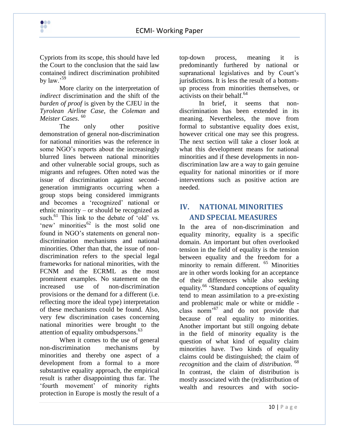

Cypriots from its scope, this should have led the Court to the conclusion that the said law contained indirect discrimination prohibited by law<sup>59</sup>

More clarity on the interpretation of *indirect* discrimination and the shift of the *burden of proof* is given by the CJEU in the *Tyrolean Airline Case*, the *Coleman* and *Meister Cases*. 60

The only other positive demonstration of general non-discrimination for national minorities was the reference in some NGO's reports about the increasingly blurred lines between national minorities and other vulnerable social groups, such as migrants and refugees. Often noted was the issue of discrimination against secondgeneration immigrants occurring when a group stops being considered immigrants and becomes a "recognized" national or ethnic minority – or should be recognized as such.<sup>61</sup> This link to the debate of 'old' vs. 'new' minorities $^{62}$  is the most solid one found in NGO"s statements on general nondiscrimination mechanisms and national minorities. Other than that, the issue of nondiscrimination refers to the special legal frameworks for national minorities, with the FCNM and the ECRML as the most prominent examples. No statement on the increased use of non-discrimination provisions or the demand for a different (i.e. reflecting more the ideal type) interpretation of these mechanisms could be found. Also, very few discrimination cases concerning national minorities were brought to the attention of equality ombudspersons. 63

When it comes to the use of general non-discrimination mechanisms by minorities and thereby one aspect of a development from a formal to a more substantive equality approach, the empirical result is rather disappointing thus far. The "fourth movement" of minority rights protection in Europe is mostly the result of a

top-down process, meaning it is predominantly furthered by national or supranational legislatives and by Court's jurisdictions. It is less the result of a bottomup process from minorities themselves, or activists on their behalf.<sup>64</sup>

In brief, it seems that nondiscrimination has been extended in its meaning. Nevertheless, the move from formal to substantive equality does exist, however critical one may see this progress. The next section will take a closer look at what this development means for national minorities and if these developments in nondiscrimination law are a way to gain genuine equality for national minorities or if more interventions such as positive action are needed.

# **IV. NATIONAL MINORITIES AND SPECIAL MEASURES**

In the area of non-discrimination and equality minority, equality is a specific domain. An important but often overlooked tension in the field of equality is the tension between equality and the freedom for a minority to remain different. <sup>65</sup> Minorities are in other words looking for an acceptance of their differences while also seeking equality.<sup>66</sup> 'Standard conceptions of equality tend to mean assimilation to a pre-existing and problematic male or white or middle class norm<sup> $67$ </sup> and do not provide that because of real equality to minorities. Another important but still ongoing debate in the field of minority equality is the question of what kind of equality claim minorities have. Two kinds of equality claims could be distinguished; the claim of *recognition* and the claim of *distribution*. 68 In contrast, the claim of distribution is mostly associated with the (re)distribution of wealth and resources and with socio-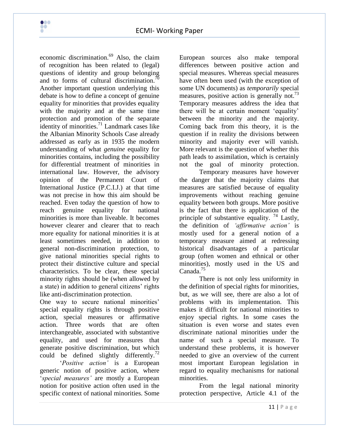

 $\bullet\bullet\bullet$ **DO** 

equality for minorities that provides equality with the majority and at the same time protection and promotion of the separate identity of minorities.<sup>71</sup> Landmark cases like the Albanian Minority Schools Case already addressed as early as in 1935 the modern understanding of what *genuine* equality for minorities contains, including the possibility for differential treatment of minorities in international law. However, the advisory opinion of the Permanent Court of International Justice (P.C.I.J.) at that time was not precise in how this aim should be reached. Even today the question of how to reach genuine equality for national minorities is more than liveable. It becomes however clearer and clearer that to reach more equality for national minorities it is at least sometimes needed, in addition to general non-discrimination protection, to give national minorities special rights to protect their distinctive culture and special characteristics. To be clear, these special minority rights should be (when allowed by a state) in addition to general citizens" rights like anti-discrimination protection.

One way to secure national minorities' special equality rights is through positive action, special measures or affirmative action. Three words that are often interchangeable, associated with substantive equality, and used for measures that generate positive discrimination, but which could be defined slightly differently.<sup>72</sup>

"*Positive action'* is a European generic notion of positive action, where "*special measures'* are mostly a European notion for positive action often used in the specific context of national minorities. Some

European sources also make temporal differences between positive action and special measures. Whereas special measures have often been used (with the exception of some UN documents) as *temporarily* special measures, positive action is generally not.<sup>73</sup> Temporary measures address the idea that there will be at certain moment "equality" between the minority and the majority. Coming back from this theory, it is the question if in reality the divisions between minority and majority ever will vanish. More relevant is the question of whether this path leads to assimilation, which is certainly not the goal of minority protection.

Temporary measures have however the danger that the majority claims that measures are satisfied because of equality improvements without reaching genuine equality between both groups. More positive is the fact that there is application of the principle of substantive equality.<sup>74</sup> Lastly, the definition of *'affirmative action'* is mostly used for a general notion of a temporary measure aimed at redressing historical disadvantages of a particular group (often women and ethnical or other minorities), mostly used in the US and Canada.<sup>75</sup>

There is not only less uniformity in the definition of special rights for minorities, but, as we will see, there are also a lot of problems with its implementation. This makes it difficult for national minorities to enjoy special rights. In some cases the situation is even worse and states even discriminate national minorities under the name of such a special measure. To understand these problems, it is however needed to give an overview of the current most important European legislation in regard to equality mechanisms for national minorities.

From the legal national minority protection perspective, Article 4.1 of the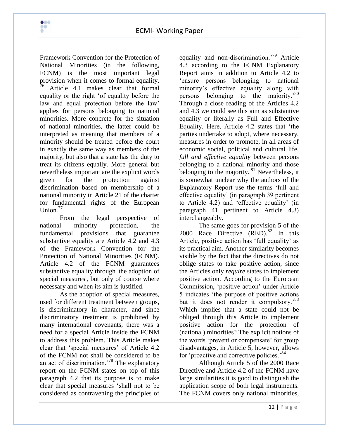

Framework Convention for the Protection of National Minorities (in the following, FCNM) is the most important legal provision when it comes to formal equality.  $\frac{1}{6}$  Article 4.1 makes clear that formal equality or the right "of equality before the law and equal protection before the law' applies for persons belonging to national minorities. More concrete for the situation of national minorities, the latter could be interpreted as meaning that members of a minority should be treated before the court in exactly the same way as members of the majority, but also that a state has the duty to treat its citizens equally. More general but nevertheless important are the explicit words given for the protection against discrimination based on membership of a national minority in Article 21 of the charter for fundamental rights of the European Union. $77$ 

From the legal perspective of national minority protection, the fundamental provisions that guarantee substantive equality are Article 4.2 and 4.3 of the Framework Convention for the Protection of National Minorities (FCNM). Article 4.2 of the FCNM guarantees substantive equality through 'the adoption of special measures', but only of course where necessary and when its aim is justified.

As the adoption of special measures, used for different treatment between groups, is discriminatory in character, and since discriminatory treatment is prohibited by many international covenants, there was a need for a special Article inside the FCNM to address this problem. This Article makes clear that 'special measures' of Article 4.2 of the FCNM not shall be considered to be an act of discrimination.<sup>78</sup> The explanatory report on the FCNM states on top of this paragraph 4.2 that its purpose is to make clear that special measures "shall not to be considered as contravening the principles of

equality and non-discrimination.<sup>79</sup> Article 4.3 according to the FCNM Explanatory Report aims in addition to Article 4.2 to "ensure persons belonging to national minority"s effective equality along with persons belonging to the majority.<sup>80</sup> Through a close reading of the Articles 4.2 and 4.3 we could see this aim as substantive equality or literally as Full and Effective Equality. Here, Article 4.2 states that "the parties undertake to adopt, where necessary, measures in order to promote, in all areas of economic social, political and cultural life, *full and effective equality* between persons belonging to a national minority and those belonging to the majority.<sup>81</sup> Nevertheless, it is somewhat unclear why the authors of the Explanatory Report use the terms "full and effective equality" (in paragraph 39 pertinent to Article 4.2) and "effective equality" (in paragraph 41 pertinent to Article 4.3) interchangeably.

The same goes for provision 5 of the 2000 Race Directive  $(RED).$ <sup>82</sup> In this Article, positive action has 'full equality' as its practical aim. Another similarity becomes visible by the fact that the directives do not oblige states to take positive action, since the Articles only *require* states to implement positive action. According to the European Commission, "positive action" under Article 5 indicates "the purpose of positive actions but it does not render it compulsory.<sup>83</sup> Which implies that a state could not be obliged through this Article to implement positive action for the protection of (national) minorities? The explicit notions of the words 'prevent or compensate' for group disadvantages, in Article 5, however, allows for 'proactive and corrective policies.<sup>84</sup>

Although Article 5 of the 2000 Race Directive and Article 4.2 of the FCNM have large similarities it is good to distinguish the application scope of both legal instruments. The FCNM covers only national minorities,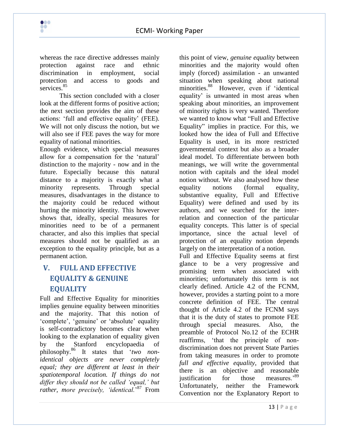

whereas the race directive addresses mainly protection against race and ethnic discrimination in employment, social protection and access to goods and services.<sup>85</sup>

This section concluded with a closer look at the different forms of positive action; the next section provides the aim of these actions: "full and effective equality" (FEE). We will not only discuss the notion, but we will also see if FEE paves the way for more equality of national minorities.

Enough evidence, which special measures allow for a compensation for the "natural" distinction to the majority - now and in the future. Especially because this natural distance to a majority is exactly what a minority represents. Through special measures, disadvantages in the distance to the majority could be reduced without hurting the minority identity. This however shows that, ideally, special measures for minorities need to be of a permanent character, and also this implies that special measures should not be qualified as an exception to the equality principle, but as a permanent action.

# **V. FULL AND EFFECTIVE EQUALITY & GENUINE EQUALITY**

Full and Effective Equality for minorities implies genuine equality between minorities and the majority. That this notion of 'complete', 'genuine' or 'absolute' equality is self-contradictory becomes clear when looking to the explanation of equality given by the Stanford encyclopaedia of philosophy.<sup>86</sup> It states that "*two nonidentical objects are never completely equal; they are different at least in their spatiotemporal location. If things do not differ they should not be called 'equal,' but*  rather, more precisely, 'identical.<sup>'87</sup> From this point of view, *genuine equality* between minorities and the majority would often imply (forced) assimilation - an unwanted situation when speaking about national minorities.<sup>88</sup> However, even if 'identical equality" is unwanted in most areas when speaking about minorities, an improvement of minority rights is very wanted. Therefore we wanted to know what "Full and Effective Equality" implies in practice. For this, we looked how the idea of Full and Effective Equality is used, in its more restricted governmental context but also as a broader ideal model. To differentiate between both meanings, we will write the governmental notion with capitals and the ideal model notion without. We also analysed how these equality notions (formal equality, substantive equality, Full and Effective Equality) were defined and used by its authors, and we searched for the interrelation and connection of the particular equality concepts. This latter is of special importance, since the actual level of protection of an equality notion depends largely on the interpretation of a notion.

Full and Effective Equality seems at first glance to be a very progressive and promising term when associated with minorities; unfortunately this term is not clearly defined. Article 4.2 of the FCNM, however, provides a starting point to a more concrete definition of FEE. The central thought of Article 4.2 of the FCNM says that it is the duty of states to promote FEE through special measures. Also, the preamble of Protocol No.12 of the ECHR reaffirms, "that the principle of nondiscrimination does not prevent State Parties from taking measures in order to promote *full and effective equality*, provided that there is an objective and reasonable justification for those measures.<sup>89</sup> Unfortunately, neither the Framework Convention nor the Explanatory Report to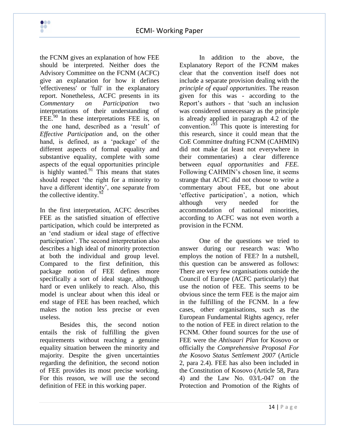the FCNM gives an explanation of how FEE should be interpreted. Neither does the Advisory Committee on the FCNM (ACFC) give an explanation for how it defines 'effectiveness' or 'full' in the explanatory report. Nonetheless, ACFC presents in its *Commentary on Participation* two interpretations of their understanding of FEE.<sup>90</sup> In these interpretations FEE is, on the one hand, described as a 'result' of *Effective Participation* and, on the other hand, is defined, as a 'package' of the different aspects of formal equality and substantive equality, complete with some aspects of the equal opportunities principle is highly wanted. $91$  This means that states should respect "the right for a minority to have a different identity', one separate from the collective identity. $92$ 

In the first interpretation, ACFC describes FEE as the satisfied situation of effective participation, which could be interpreted as an "end stadium or ideal stage of effective participation". The second interpretation also describes a high ideal of minority protection at both the individual and group level. Compared to the first definition, this package notion of FEE defines more specifically a sort of ideal stage, although hard or even unlikely to reach. Also, this model is unclear about when this ideal or end stage of FEE has been reached, which makes the notion less precise or even useless.

Besides this, the second notion entails the risk of fulfilling the given requirements without reaching a genuine equality situation between the minority and majority. Despite the given uncertainties regarding the definition, the second notion of FEE provides its most precise working. For this reason, we will use the second definition of FEE in this working paper.

In addition to the above, the Explanatory Report of the FCNM makes clear that the convention itself does not include a separate provision dealing with the *principle of equal opportunities*. The reason given for this was - according to the Report"s authors - that "such an inclusion was considered unnecessary as the principle is already applied in paragraph 4.2 of the convention."<sup>93</sup> This quote is interesting for this research, since it could mean that the CoE Committee drafting FCNM (CAHMIN) did not make (at least not everywhere in their commentaries) a clear difference between *equal opportunities* and *FEE.*  Following CAHMIN"s chosen line, it seems strange that ACFC did not choose to write a commentary about FEE, but one about "effective participation", a notion, which although very needed for the accommodation of national minorities, according to ACFC was not even worth a provision in the FCNM.

One of the questions we tried to answer during our research was: Who employs the notion of FEE? In a nutshell, this question can be answered as follows: There are very few organisations outside the Council of Europe (ACFC particularly) that use the notion of FEE. This seems to be obvious since the term FEE is the major aim in the fulfilling of the FCNM. In a few cases, other organisations, such as the European Fundamental Rights agency, refer to the notion of FEE in direct relation to the FCNM. Other found sources for the use of FEE were the *Ahtisaari Plan* for Kosovo or officially the *Comprehensive Proposal For the Kosovo Status Settlement 2007* (Article 2, para 2.4). FEE has also been included in the Constitution of Kosovo (Article 58, Para 4) and the Law No. 03/L-047 on the Protection and Promotion of the Rights of

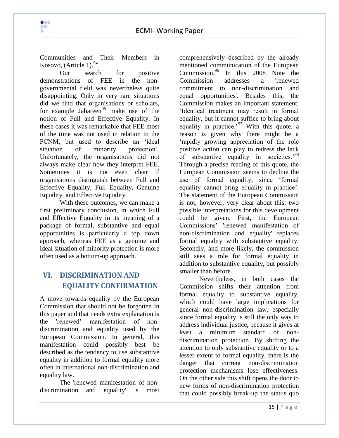Communities and Their Members in Kosovo, (Article 1).<sup>94</sup>

 $\bullet\bullet\bullet$ **DO** 

Our search for positive demonstrations of FEE in the nongovernmental field was nevertheless quite disappointing. Only in very rare situations did we find that organisations or scholars, for example Jabareen $95$  make use of the notion of Full and Effective Equality. In these cases it was remarkable that FEE most of the time was not used in relation to the FCNM, but used to describe an "ideal situation of minority protection'. Unfortunately, the organisations did not always make clear how they interpret FEE. Sometimes it is not even clear if organisations distinguish between Full and Effective Equality, Full Equality, Genuine Equality, and Effective Equality.

With these outcomes, we can make a first preliminary conclusion, in which Full and Effective Equality in its meaning of a package of formal, substantive and equal opportunities is particularly a top down approach, whereas FEE as a genuine and ideal situation of minority protection is more often used as a bottom-up approach.

# **VI. DISCRIMINATION AND EQUALITY CONFIRMATION**

A move towards equality by the European Commission that should not be forgotten in this paper and that needs extra explanation is the 'renewed" manifestation of nondiscrimination and equality used by the European Commission. In general, this manifestation could possibly best be described as the tendency to use substantive equality in addition to formal equality more often in international non-discrimination and equality law.

The 'renewed manifestation of nondiscrimination and equality' is most comprehensively described by the already mentioned communication of the European  $\text{Commission.}^{96}$  In this 2008 Note the Commission addresses a 'renewed Commission addresses a 'renewed commitment to non-discrimination and equal opportunities'. Besides this, the Commission makes an important statement: "Identical treatment may result in formal equality, but it cannot suffice to bring about equality in practice.<sup>97</sup> With this quote, a reason is given why there might be a "rapidly growing appreciation of the role positive action can play to redress the lack of substantive equality in societies.<sup>98</sup> Through a precise reading of this quote, the European Commission seems to decline the use of formal equality, since "formal equality cannot bring equality in practice". The statement of the European Commission is not, however, very clear about this: two possible interpretations for this development could be given. First, the European Commissions" 'renewed manifestation of non-discrimination and equality' replaces formal equality with substantive equality. Secondly, and more likely, the commission still sees a role for formal equality in addition to substantive equality, but possibly smaller than before.

Nevertheless, in both cases the Commission shifts their attention from formal equality to substantive equality, which could have large implications for general non-discrimination law, especially since formal equality is still the only way to address individual justice, because it gives at least a minimum standard of nondiscrimination protection. By shifting the attention to only substantive equality or to a lesser extent to formal equality, there is the danger that current non-discrimination protection mechanisms lose effectiveness. On the other side this shift opens the door to new forms of non-discrimination protection that could possibly break-up the status quo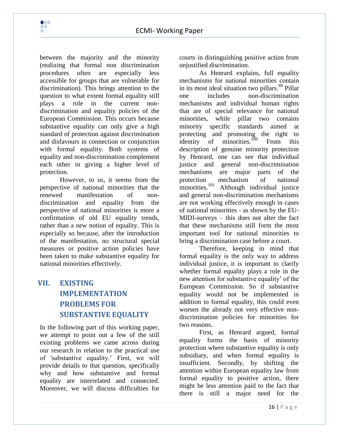

 $\bullet\bullet\bullet$ **DO** 

However, to us, it seems from the perspective of national minorities that the renewed manifestation of nondiscrimination and equality from the perspective of national minorities is more a confirmation of old EU equality trends, rather than a new notion of equality. This is especially so because, after the introduction of the manifestation, no structural special measures or positive action policies have been taken to make substantive equality for national minorities effectively.

# **VII. EXISTING IMPLEMENTATION PROBLEMS FOR SUBSTANTIVE EQUALITY**

In the following part of this working paper, we attempt to point out a few of the still existing problems we came across during our research in relation to the practical use of 'substantive equality." First, we will provide details to that question, specifically why and how substantive and formal equality are interrelated and connected. Moreover, we will discuss difficulties for

courts in distinguishing positive action from unjustified discrimination.

As Henrard explains, full equality mechanisms for national minorities contain in its most ideal situation two pillars.<sup>99</sup> Pillar one includes non-discrimination mechanisms and individual human rights that are of special relevance for national minorities, while pillar two contains minority specific standards aimed at protecting and promoting the right to identity of minorities.<sup>100</sup> From this description of genuine minority protection by Henrard, one can see that individual justice and general non-discrimination mechanisms are major parts of the protection mechanism of national minorities.<sup>101</sup> Although individual justice and general non-discrimination mechanisms are not working effectively enough in cases of national minorities - as shown by the EU-MIDI-surveys – this does not alter the fact that these mechanisms still form the most important tool for national minorities to bring a discrimination case before a court.

Therefore, keeping in mind that formal equality is the only way to address individual justice, it is important to clarify whether formal equality plays a role in the new attention for substantive equality" of the European Commission. So if substantive equality would not be implemented in addition to formal equality, this could even worsen the already not very effective nondiscrimination policies for minorities for two reasons.

First, as Henrard argued, formal equality forms the basis of minority protection where substantive equality is only subsidiary, and when formal equality is insufficient. Secondly, by shifting the attention within European equality law from formal equality to positive action, there might be less attention paid to the fact that there is still a major need for the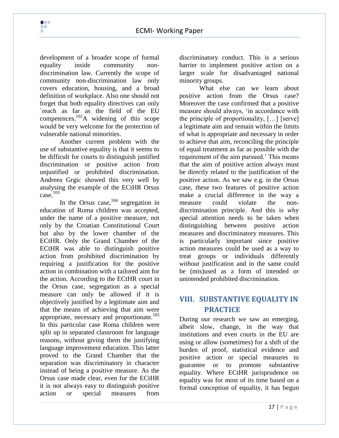development of a broader scope of formal equality inside community nondiscrimination law. Currently the scope of community non-discrimination law only covers education, housing, and a broad definition of workplace. Also one should not forget that both equality directives can only `reach as far as the field of the EU competences.<sup>102</sup>A widening of this scope would be very welcome for the protection of vulnerable national minorities.

 $\bullet\bullet\bullet$ 

Another current problem with the use of substantive equality is that it seems to be difficult for courts to distinguish justified discrimination or positive action from unjustified or prohibited discrimination. Andreea Grgic showed this very well by analysing the example of the ECtHR Orsus case.<sup>103</sup>

In the Orsus case,  $104$  segregation in education of Roma children was accepted, under the name of a positive measure, not only by the Croatian Constitutional Court but also by the lower chamber of the ECtHR. Only the Grand Chamber of the ECtHR was able to distinguish positive action from prohibited discrimination by requiring a justification for the positive action in combination with a tailored aim for the action. According to the ECtHR court in the Orsus case, segregation as a special measure can only be allowed if it is objectively justified by a legitimate aim and that the means of achieving that aim were appropriate, necessary and proportionate. $105$ In this particular case Roma children were split up in separated classroom for language reasons, without giving them the justifying language improvement education. This latter proved to the Grand Chamber that the separation was discriminatory in character instead of being a positive measure. As the Orsus case made clear, even for the ECtHR it is not always easy to distinguish positive action or special measures from

discriminatory conduct. This is a serious barrier to implement positive action on a larger scale for disadvantaged national minority groups.

What else can we learn about positive action from the Orsus case? Moreover the case confirmed that a positive measure should always, "in accordance with the principle of proportionality, […] [serve] a legitimate aim and remain within the limits of what is appropriate and necessary in order to achieve that aim, reconciling the principle of equal treatment as far as possible with the requirement of the aim pursued.' This means that the aim of positive action always must be directly related to the justification of the positive action. As we saw e.g. in the Orsus case, these two features of positive action make a crucial difference in the way a measure could violate the nondiscrimination principle. And this is why special attention needs to be taken when distinguishing between positive action measures and discriminatory measures. This is particularly important since positive action measures could be used as a way to treat groups or individuals differently *without* justification and in the same could be (mis)used as a form of intended or unintended prohibited discrimination.

# **VIII. SUBSTANTIVE EQUALITY IN PRACTICE**

During our research we saw an emerging, albeit slow, change, in the way that institutions and even courts in the EU are using or allow (sometimes) for a shift of the burden of proof, statistical evidence and positive action or special measures to guarantee or to promote substantive equality. Where ECtHR jurisprudence on equality was for most of its time based on a formal conception of equality, it has begun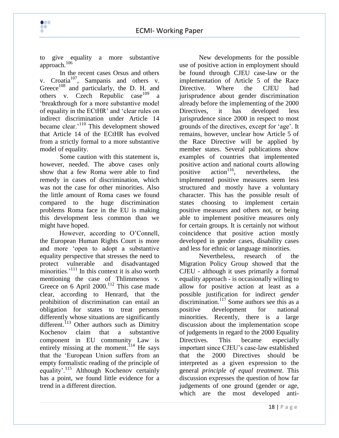

to give equality a more substantive approach.<sup>106</sup>

 $\bullet\bullet\bullet$ 

In the recent cases Orsus and others v. Croatia<sup>107</sup>, Sampanis and others v. Greece<sup>108</sup> and particularly, the D. H. and others v. Czech Republic case<sup>109</sup> a "breakthrough for a more substantive model of equality in the ECtHR" and "clear rules on indirect discrimination under Article 14 became clear.<sup>'110</sup> This development showed that Article 14 of the ECtHR has evolved from a strictly formal to a more substantive model of equality.

Some caution with this statement is, however, needed. The above cases only show that a few Roma were able to find remedy in cases of discrimination, which was not the case for other minorities. Also the little amount of Roma cases we found compared to the huge discrimination problems Roma face in the EU is making this development less common than we might have hoped.

However, according to O'Connell, the European Human Rights Court is more and more "open to adopt a substantive equality perspective that stresses the need to protect vulnerable and disadvantaged minorities. $^{111}$  In this context it is also worth mentioning the case of Thlimmenos v. Greece on 6 April 2000.<sup>112</sup> This case made clear, according to Henrard, that the prohibition of discrimination can entail an obligation for states to treat persons differently whose situations are significantly different.<sup>113</sup> Other authors such as Dimitry Kochenov claim that a substantive component in EU community Law is entirely missing at the moment.<sup>114</sup> He says that the "European Union suffers from an empty formalistic reading of the principle of equality'.<sup>115</sup> Although Kochenov certainly has a point, we found little evidence for a trend in a different direction.

New developments for the possible use of positive action in employment should be found through CJEU case-law or the implementation of Article 5 of the Race Directive. Where the CJEU had jurisprudence about gender discrimination already before the implementing of the 2000 Directives, it has developed less jurisprudence since 2000 in respect to most grounds of the directives, except for "age". It remains, however, unclear how Article 5 of the Race Directive will be applied by member states. Several publications show examples of countries that implemented positive action and national courts allowing<br>positive action<sup>116</sup>, nevertheless, the positive action<sup>116</sup>, nevertheless, the implemented positive measures seem less structured and mostly have a voluntary character. This has the possible result of states choosing to implement certain positive measures and others not, or being able to implement positive measures only for certain groups. It is certainly not without coincidence that positive action mostly developed in gender cases, disability cases and less for ethnic or language minorities.

Nevertheless, research of the Migration Policy Group showed that the CJEU - although it uses primarily a formal equality approach - is occasionally willing to allow for positive action at least as a possible justification for indirect *gender* discrimination.<sup>117</sup> Some authors see this as a positive development for national minorities. Recently, there is a large discussion about the implementation scope of judgements in regard to the 2000 Equality Directives. This became especially important since CJEU"s case-law established that the 2000 Directives should be interpreted as a given expression to the general *principle of equal treatment*. This discussion expresses the question of how far judgements of one ground (gender or age, which are the most developed anti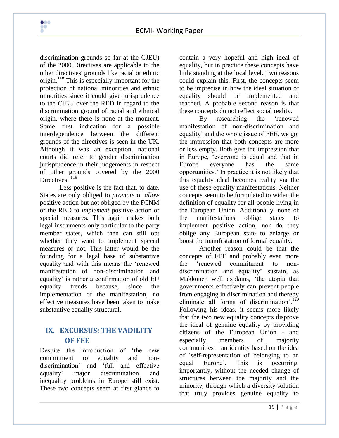discrimination grounds so far at the CJEU) of the 2000 Directives are applicable to the other directives' grounds like racial or ethnic origin.<sup>118</sup> This is especially important for the protection of national minorities and ethnic minorities since it could give jurisprudence to the CJEU over the RED in regard to the discrimination ground of racial and ethnical origin, where there is none at the moment. Some first indication for a possible interdependence between the different grounds of the directives is seen in the UK. Although it was an exception, national courts did refer to gender discrimination jurisprudence in their judgements in respect of other grounds covered by the 2000 Directives.<sup>119</sup>

 $\bullet\bullet\bullet$ **DO** 

Less positive is the fact that, to date, States are only obliged to *promote* or *allow*  positive action but not obliged by the FCNM or the RED to *implement* positive action or special measures. This again makes both legal instruments only particular to the party member states, which then can still opt whether they want to implement special measures or not. This latter would be the founding for a legal base of substantive equality and with this means the "renewed manifestation of non-discrimination and equality" is rather a confirmation of old EU equality trends because, since the implementation of the manifestation, no effective measures have been taken to make substantive equality structural.

# **IX. EXCURSUS: THE VADILITY OF FEE**

Despite the introduction of "the new commitment to equality and nondiscrimination" and "full and effective equality" major discrimination and inequality problems in Europe still exist. These two concepts seem at first glance to contain a very hopeful and high ideal of equality, but in practice these concepts have little standing at the local level. Two reasons could explain this. First, the concepts seem to be imprecise in how the ideal situation of equality should be implemented and reached. A probable second reason is that these concepts do not reflect social reality.

By researching the "renewed manifestation of non-discrimination and equality" and the whole issue of FEE, we got the impression that both concepts are more or less empty. Both give the impression that in Europe, "everyone is equal and that in Europe everyone has the same opportunities." In practice it is not likely that this equality ideal becomes reality via the use of these equality manifestations. Neither concepts seem to be formulated to widen the definition of equality for all people living in the European Union. Additionally, none of the manifestations oblige states to implement positive action, nor do they oblige any European state to enlarge or boost the manifestation of formal equality.

Another reason could be that the concepts of FEE and probably even more the "renewed commitment to nondiscrimination and equality' sustain, as Makkonen well explains, "the utopia that governments effectively can prevent people from engaging in discrimination and thereby eliminate all forms of discrimination'.<sup>120</sup> Following his ideas, it seems more likely that the two new equality concepts disprove the ideal of genuine equality by providing citizens of the European Union - and especially members of majority communities – an identity based on the idea of "self-representation of belonging to an equal Europe'. This is occurring, importantly, without the needed change of structures between the majority and the minority, through which a diversity solution that truly provides genuine equality to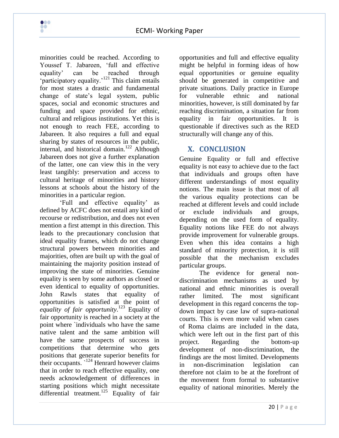minorities could be reached. According to Youssef T. Jabareen, "full and effective equality" can be reached through 'participatory equality.'<sup>121</sup> This claim entails for most states a drastic and fundamental change of state"s legal system, public spaces, social and economic structures and funding and space provided for ethnic, cultural and religious institutions. Yet this is not enough to reach FEE, according to Jabareen. It also requires a full and equal sharing by states of resources in the public, internal, and historical domain.<sup>122</sup> Although Jabareen does not give a further explanation of the latter, one can view this in the very least tangibly: preservation and access to cultural heritage of minorities and history lessons at schools about the history of the minorities in a particular region.

"Full and effective equality" as defined by ACFC does not entail any kind of recourse or redistribution, and does not even mention a first attempt in this direction. This leads to the precautionary conclusion that ideal equality frames, which do not change structural powers between minorities and majorities, often are built up with the goal of maintaining the majority position instead of improving the state of minorities. Genuine equality is seen by some authors as closed or even identical to equality of opportunities. John Rawls states that equality of opportunities is satisfied at the point of *equality of fair opportunity*. <sup>123</sup> Equality of fair opportunity is reached in a society at the point where `individuals who have the same native talent and the same ambition will have the same prospects of success in competitions that determine who gets positions that generate superior benefits for their occupants.  $124$  Henrard however claims that in order to reach effective equality, one needs acknowledgement of differences in starting positions which might necessitate differential treatment.<sup>125</sup> Equality of fair

opportunities and full and effective equality might be helpful in forming ideas of how equal opportunities or genuine equality should be generated in competitive and private situations. Daily practice in Europe for vulnerable ethnic and national minorities, however, is still dominated by far reaching discrimination, a situation far from equality in fair opportunities. It is questionable if directives such as the RED structurally will change any of this.

# **X. CONCLUSION**

Genuine Equality or full and effective equality is not easy to achieve due to the fact that individuals and groups often have different understandings of most equality notions. The main issue is that most of all the various equality protections can be reached at different levels and could include or exclude individuals and groups, depending on the used form of equality. Equality notions like FEE do not always provide improvement for vulnerable groups. Even when this idea contains a high standard of minority protection, it is still possible that the mechanism excludes particular groups.

The evidence for general nondiscrimination mechanisms as used by national and ethnic minorities is overall rather limited. The most significant development in this regard concerns the topdown impact by case law of supra-national courts. This is even more valid when cases of Roma claims are included in the data, which were left out in the first part of this project. Regarding the bottom-up development of non-discrimination, the findings are the most limited. Developments in non-discrimination legislation can therefore not claim to be at the forefront of the movement from formal to substantive equality of national minorities. Merely the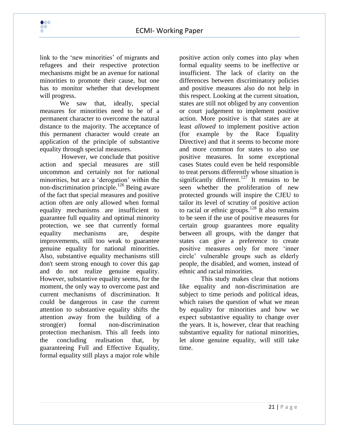link to the 'new minorities' of migrants and refugees and their respective protection mechanisms might be an avenue for national minorities to promote their cause, but one has to monitor whether that development will progress.

 $\bullet\bullet\bullet$ **DO** 

We saw that, ideally, special measures for minorities need to be of a permanent character to overcome the natural distance to the majority. The acceptance of this permanent character would create an application of the principle of substantive equality through special measures.

However, we conclude that positive action and special measures are still uncommon and certainly not for national minorities, but are a "derogation" within the non-discrimination principle.<sup>126</sup> Being aware of the fact that special measures and positive action often are only allowed when formal equality mechanisms are insufficient to guarantee full equality and optimal minority protection, we see that currently formal equality mechanisms are, despite improvements, still too weak to guarantee genuine equality for national minorities. Also, substantive equality mechanisms still don't seem strong enough to cover this gap and do not realize genuine equality. However, substantive equality seems, for the moment, the only way to overcome past and current mechanisms of discrimination. It could be dangerous in case the current attention to substantive equality shifts the attention away from the building of a strong(er) formal non-discrimination protection mechanism. This all feeds into the concluding realisation that, by guaranteeing Full and Effective Equality, formal equality still plays a major role while

positive action only comes into play when formal equality seems to be ineffective or insufficient. The lack of clarity on the differences between discriminatory policies and positive measures also do not help in this respect. Looking at the current situation, states are still not obliged by any convention or court judgement to implement positive action. More positive is that states are at least *allowed* to implement positive action (for example by the Race Equality Directive) and that it seems to become more and more common for states to also use positive measures. In some exceptional cases States could even be held responsible to treat persons differently whose situation is significantly different.<sup>127</sup> It remains to be seen whether the proliferation of new protected grounds will inspire the CJEU to tailor its level of scrutiny of positive action to racial or ethnic groups.<sup>128</sup> It also remains to be seen if the use of positive measures for certain group guarantees more equality between all groups, with the danger that states can give a preference to create positive measures only for more "inner circle" vulnerable groups such as elderly people, the disabled, and women, instead of ethnic and racial minorities.

This study makes clear that notions like equality and non-discrimination are subject to time periods and political ideas, which raises the question of what we mean by equality for minorities and how we expect substantive equality to change over the years. It is, however, clear that reaching substantive equality for national minorities, let alone genuine equality, will still take time.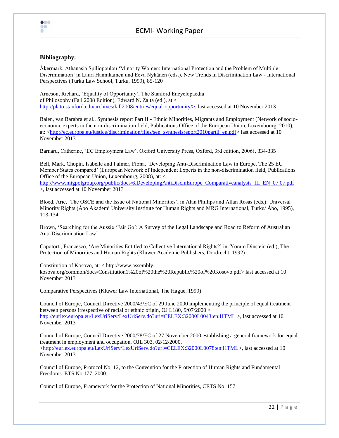

#### **Bibliography:**

Åkermark, Athanasia Spiliopoulou "Minority Women: International Protection and the Problem of Multiple Discrimination" in Lauri Hannikainen und Eeva Nykänen (eds.), New Trends in Discrimination Law - International Perspectives (Turku Law School, Turku, 1999), 85-120

Arneson, Richard, "Equality of Opportunity", The Stanford Encyclopaedia of Philosophy (Fall 2008 Edition), Edward N. Zalta (ed.), at < [http://plato.stanford.edu/archives/fall2008/entries/equal-opportunity/>](http://plato.stanford.edu/archives/fall2008/entries/equal-opportunity/), last accessed at 10 November 2013

Balen, van Barabra et al., Synthesis report Part II - Ethnic Minorities, Migrants and Employment (Network of socioeconomic experts in the non-discrimination field, Publications Office of the European Union, Luxembourg, 2010), at: [<http://ec.europa.eu/justice/discrimination/files/sen\\_synthesisreport2010partii\\_en.pdf>](http://ec.europa.eu/justice/discrimination/files/sen_synthesisreport2010partii_en.pdf) last accessed at 10 November 2013

Barnard, Catherine, "EC Employment Law", Oxford University Press, Oxford, 3rd edition, 2006), 334-335

Bell, Mark, Chopin, Isabelle and Palmer, Fiona, "Developing Anti-Discrimination Law in Europe. The 25 EU Member States compared" (European Network of Independent Experts in the non-discrimination field, Publications Office of the European Union, Luxembourg, 2008), at: <

[http://www.migpolgroup.org/public/docs/6.DevelopingAntiDiscinEurope\\_Comparativeanalysis\\_III\\_EN\\_07.07.pdf](http://www.migpolgroup.org/public/docs/6.DevelopingAntiDiscinEurope_Comparativeanalysis_III_EN_07.07.pdf) >, last accessed at 10 November 2013

Bloed, Arie, "The OSCE and the Issue of National Minorities", in Alan Phillips and Allan Rosas (eds.): Universal Minority Rights (Åbo Akademi University Institute for Human Rights and MRG International, Turku/ Åbo, 1995), 113-134

Brown, "Searching for the Aussie "Fair Go": A Survey of the Legal Landscape and Road to Reform of Australian Anti-Discrimination Law"

Capotorti, Francesco, "Are Minorities Entitled to Collective International Rights?" in: Yoram Dinstein (ed.), The Protection of Minorities and Human Rights (Kluwer Academic Publishers, Dordrecht, 1992)

Constitution of Kosovo, at: < http://www.assemblykosova.org/common/docs/Constitution1%20of%20the%20Republic%20of%20Kosovo.pdf> last accessed at 10 November 2013

Comparative Perspectives (Kluwer Law International, The Hague, 1999)

Council of Europe, Council Directive 2000/43/EC of 29 June 2000 implementing the principle of equal treatment between persons irrespective of racial or ethnic origin, OJ L180, 9/07/2000 < <http://eurlex.europa.eu/LexUriServ/LexUriServ.do?uri=CELEX:32000L0043:en:HTML> >, last accessed at 10 November 2013

Council of Europe, Council Directive 2000/78/EC of 27 November 2000 establishing a general framework for equal treatment in employment and occupation, OJL 303, 02/12/2000, [<http://eurlex.europa.eu/LexUriServ/LexUriServ.do?uri=CELEX:32000L0078:en:HTML>](http://eurlex.europa.eu/LexUriServ/LexUriServ.do?uri=CELEX:32000L0078:en:HTML), last accessed at 10 November 2013

Council of Europe, Protocol No. 12, to the Convention for the Protection of Human Rights and Fundamental Freedoms. ETS No.177, 2000.

Council of Europe, Framework for the Protection of National Minorities, CETS No. 157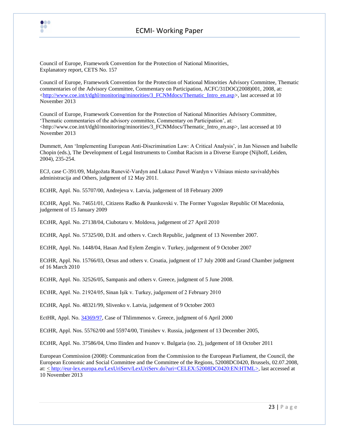

## ECMI- Working Paper

Council of Europe, Framework Convention for the Protection of National Minorities, Explanatory report, CETS No. 157

Council of Europe, Framework Convention for the Protection of National Minorities Advisory Committee, Thematic commentaries of the Advisory Committee, Commentary on Participation, ACFC/31DOC(2008)001, 2008, at:  $\langle$ http://www.coe.int/t/dghl/monitoring/minorities/3\_FCNMdocs/Thematic\_Intro\_en.asp>, last accessed at 10 November 2013

Council of Europe, Framework Convention for the Protection of National Minorities Advisory Committee, "Thematic commentaries of the advisory committee, Commentary on Participation", at:  $\langle$ http://www.coe.int/t/dghl/monitoring/minorities/3 FCNMdocs/Thematic Intro\_en.asp>, last accessed at 10 November 2013

Dummett, Ann "Implementing European Anti-Discrimination Law: A Critical Analysis", in Jan Niessen and Isabelle Chopin (eds.), The Development of Legal Instruments to Combat Racism in a Diverse Europe (Nijhoff, Leiden, 2004), 235-254.

ECJ, case C-391/09, Malgožata Runevič-Vardyn and Łukasz Paweł Wardyn v Vilniaus miesto savivaldybės administracija and Others, judgment of 12 May 2011.

ECtHR, Appl. No. 55707/00, Andrejeva v. Latvia, judgement of 18 February 2009

ECtHR, Appl. No. 74651/01, Citizens Radko & Paunkovski v. The Former Yugoslav Republic Of Macedonia, judgement of 15 January 2009

ECtHR, Appl. No. 27138/04, Ciubotaru v. Moldova, judgement of 27 April 2010

ECtHR, Appl. No. 57325/00, D.H. and others v. Czech Republic, judgment of 13 November 2007.

ECtHR, Appl. No. 1448/04, Hasan And Eylem Zengin v. Turkey, judgement of 9 October 2007

ECtHR, Appl. No. 15766/03, Orsus and others v. Croatia, judgment of 17 July 2008 and Grand Chamber judgment of 16 March 2010

ECtHR, Appl. No. 32526/05, Sampanis and others v. Greece, judgment of 5 June 2008.

ECtHR, Appl. No. 21924/05, Sinan Işik v. Turkey, judgement of 2 February 2010

ECtHR, Appl. No. 48321/99, Slivenko v. Latvia, judgement of 9 October 2003

EctHR, Appl. No. [34369/97,](http://hudoc.echr.coe.int/sites/eng/pages/search.aspx#{) Case of Thlimmenos v. Greece, judgment of 6 April 2000

ECtHR, Appl. Nos. 55762/00 and 55974/00, Timishev v. Russia, judgement of 13 December 2005,

ECtHR, Appl. No. 37586/04, Umo Ilinden and Ivanov v. Bulgaria (no. 2), judgement of 18 October 2011

European Commission (2008): Communication from the Commission to the European Parliament, the Council, the European Economic and Social Committee and the Committee of the Regions, 52008DC0420, Brussels, 02.07.2008, at: [< http://eur-lex.europa.eu/LexUriServ/LexUriServ.do?uri=CELEX:52008DC0420:EN:HTML>](http://eur-lex.europa.eu/LexUriServ/LexUriServ.do?uri=CELEX:52008DC0420:EN:HTML), last accessed at 10 November 2013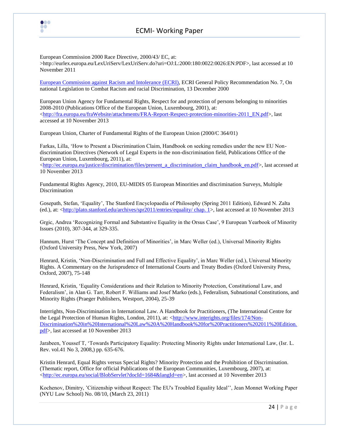

European Commission 2000 Race Directive, 2000/43/ EC, at: >http://eurlex.europa.eu/LexUriServ/LexUriServ.do?uri=OJ:L:2000:180:0022:0026:EN:PDF>, last accessed at 10 November 2011

[European Commission against Racism and Intolerance \(ECRI\),](http://www.coe.int/t/dghl/monitoring/ecri/default_en.asp) ECRI General Policy Recommendation No. 7, On national Legislation to Combat Racism and racial Discrimination, 13 December 2000

European Union Agency for Fundamental Rights, Respect for and protection of persons belonging to minorities 2008-2010 (Publications Office of the European Union, Luxembourg, 2001), at: [<http://fra.europa.eu/fraWebsite/attachments/FRA-Report-Respect-protection-minorities-2011\\_EN.pdf>](http://fra.europa.eu/fraWebsite/attachments/FRA-Report-Respect-protection-minorities-2011_EN.pdf), last accessed at 10 November 2013

European Union, Charter of Fundamental Rights of the European Union (2000/C 364/01)

000 ŌŌ

Farkas, Lilla, "How to Present a Discrimination Claim, Handbook on seeking remedies under the new EU Nondiscrimination Directives (Network of Legal Experts in the non-discrimination field, Publications Office of the European Union, Luxembourg, 2011), at:

[<http://ec.europa.eu/justice/discrimination/files/present\\_a\\_discrimination\\_claim\\_handbook\\_en.pdf>](http://ec.europa.eu/justice/discrimination/files/present_a_discrimination_claim_handbook_en.pdf), last accessed at 10 November 2013

Fundamental Rights Agency, 2010, EU-MIDIS 05 European Minorities and discrimination Surveys, Multiple Discrimination

Gosepath, Stefan, "Equality", The Stanford Encyclopaedia of Philosophy (Spring 2011 Edition), Edward N. Zalta (ed.), at: [<http://plato.stanford.edu/archives/spr2011/entries/equality/ chap. 1>](http://plato.stanford.edu/archives/spr2011/entries/equality/%20chap.%201), last accessed at 10 November 2013

Grgic, Andrea "Recognizing Formal and Substantive Equality in the Orsus Case", 9 European Yearbook of Minority Issues (2010), 307-344, at 329-335.

Hannum, Hurst "The Concept and Definition of Minorities", in Marc Weller (ed.), Universal Minority Rights (Oxford University Press, New York, 2007)

Henrard, Kristin, "Non-Discrimination and Full and Effective Equality", in Marc Weller (ed.), Universal Minority Rights. A Commentary on the Jurisprudence of International Courts and Treaty Bodies (Oxford University Press, Oxford, 2007), 75-148

Henrard, Kristin, "Equality Considerations and their Relation to Minority Protection, Constitutional Law, and Federalism", in Alan G. Tarr, Robert F. Williams and Josef Marko (eds.), Federalism, Subnational Constitutions, and Minority Rights (Praeger Publishers, Westport, 2004), 25-39

Interrights, Non-Discrimination in International Law. A Handbook for Practitioners, (The International Centre for the Legal Protection of Human Rights, London, 2011), at: [<http://www.interights.org/files/174/Non-](http://www.interights.org/files/174/Non-Discrimination%20in%20International%20Law%20A%20Handbook%20for%20Practitioners%202011%20Edition.pdf)[Discrimination%20in%20International%20Law%20A%20Handbook%20for%20Practitioners%202011%20Edition.](http://www.interights.org/files/174/Non-Discrimination%20in%20International%20Law%20A%20Handbook%20for%20Practitioners%202011%20Edition.pdf) [pdf>](http://www.interights.org/files/174/Non-Discrimination%20in%20International%20Law%20A%20Handbook%20for%20Practitioners%202011%20Edition.pdf), last accessed at 10 November 2013

Jarabeen, Youssef T, "Towards Participatory Equality: Protecting Minority Rights under International Law, (Isr. L. Rev. vol.41 No 3, 2008,) pp. 635-676.

Kristin Henrard, Equal Rights versus Special Rights? Minority Protection and the Prohibition of Discrimination. (Thematic report, Office for official Publications of the European Communities, Luxembourg, 2007), at: [<http://ec.europa.eu/social/BlobServlet?docId=1684&langId=en>](http://ec.europa.eu/social/BlobServlet?docId=1684&langId=en), last accessed at 10 November 2013

Kochenov, Dimitry, "Citizenship without Respect: The EU's Troubled Equality Ideal"", Jean Monnet Working Paper (NYU Law School) No. 08/10, (March 23, 2011)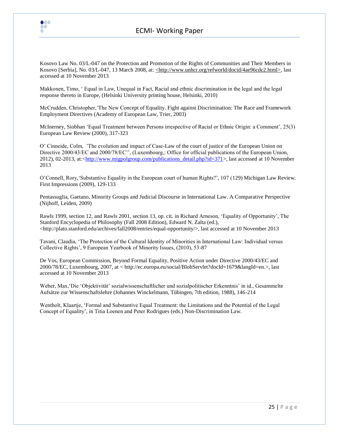

## ECMI- Working Paper

Kosovo Law No. 03/L-047 on the Protection and Promotion of the Rights of Communities and Their Members in Kosovo [Serbia], No. 03/L-047, 13 March 2008, at: <http://www.unhcr.org/refworld/docid/4ae96cdc2.html>, last accessed at 10 November 2013

Makkonen, Timo, " Equal in Law, Unequal in Fact, Racial and ethnic discrimination in the legal and the legal response thereto in Europe, (Helsinki University printing house, Helsinki, 2010)

McCrudden, Christopher,"The New Concept of Equality. Fight against Discrimination: The Race and Framework Employment Directives (Academy of European Law, Trier, 2003)

McInerney, Siobhan "Equal Treatment between Persons irrespective of Racial or Ethnic Origin: a Comment", 25(3) European Law Review (2000), 317-323

O" Cinneide, Colm, "The evolution and impact of Case-Law of the court of justice of the European Union on Directive 2000/43/EC and 2000/78/EC", (Luxembourg,: Office for official publications of the European Union, 2012), 02-2013, at:[<http://www.migpolgroup.com/publications\\_detail.php?id=371>](http://www.migpolgroup.com/publications_detail.php?id=371), last accessed at 10 November 2013

O"Connell, Rory,"Substantive Equality in the European court of human Rights?", 107 (129) Michigan Law Review. First Impressions (2009), 129-133

Pentassuglia, Gaetano, Minority Groups and Judicial Discourse in International Law. A Comparative Perspective (Nijhoff, Leiden, 2009)

Rawls 1999, section 12, and Rawls 2001, section 13, op. cit. in Richard Arneson, "Equality of Opportunity", The Stanford Encyclopedia of Philosophy (Fall 2008 Edition), Edward N. Zalta (ed.),  $\langle$ http://plato.stanford.edu/archives/fall2008/entries/equal-opportunity/>, last accessed at 10 November 2013

Tavani, Claudia, "The Protection of the Cultural Identity of Minorities in International Law: Individual versus Collective Rights", 9 European Yearbook of Minority Issues, (2010), 53-87

De Vos, European Commission, Beyond Formal Equality, Positive Action under Directive 2000/43/EC and 2000/78/EC, Luxembourg, 2007, at < http://ec.europa.eu/social/BlobServlet?docId=1679&langId=en.>, last accessed at 10 November 2013

Weber, Max,"Die "Objektivität" sozialwissenschaftlicher und sozialpolitischer Erkenntnis" in id., Gesammelte Aufsätze zur Wissenschaftslehre (Johannes Winckelmann, Tübingen, 7th edition, 1988), 146-214

Wentholt, Klaartie, 'Formal and Substantive Equal Treatment: the Limitations and the Potential of the Legal Concept of Equality", in Titia Loenen and Peter Rodrigues (eds.) Non-Discrimination Law.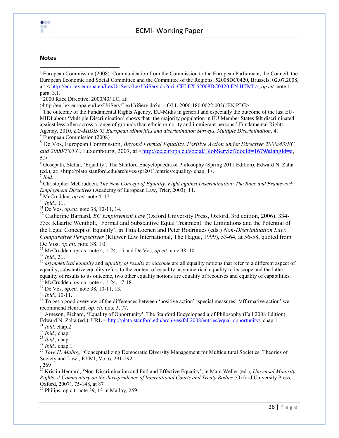

## ECMI- Working Paper

#### **Notes**

 $\overline{\phantom{a}}$ 

<sup>1</sup> European Commission (2008): Communication from the Commission to the European Parliament, the Council, the European Economic and Social Committee and the Committee of the Regions, 52008DC0420, Brussels, 02.07.2008, at: [< http://eur-lex.europa.eu/LexUriServ/LexUriServ.do?uri=CELEX:52008DC0420:EN:HTML>](http://eur-lex.europa.eu/LexUriServ/LexUriServ.do?uri=CELEX:52008DC0420:EN:HTML), *op.cit.* note 1, para. 3.1.

 $\bar{2}$ 2000 Race Directive, 2000/43/ EC, at:

>http://eurlex.europa.eu/LexUriServ/LexUriServ.do?uri=OJ:L:2000:180:0022:0026:EN:PDF>

<sup>3</sup> The outcome of the Fundamental Rights Agency, EU-Midis in general and especially the outcome of the last EU-MIDI about 'Multiple Discrimination' shows that 'the majority population in EU Member States felt discriminated against less often across a range of grounds than ethnic minority and immigrant persons.' Fundamental Rights Agency, 2010, *EU-MIDIS 05 European Minorities and discrimination Surveys, Multiple Discrimination*, 4. <sup>4</sup> European Commission (2008)

<sup>5</sup> De Vos, European Commission, *Beyond Formal Equality, Positive Action under Directive 2000/43/EC and 2000/78/EC,* Luxembourg, 2007, at [<http://ec.europa.eu/social/BlobServlet?docId=1679&langId=e,](http://ec.europa.eu/social/BlobServlet?docId=1679&langId=e)  $5.$ 

<sup>6</sup> Gosepath, Stefan, 'Equality', The Stanford Encyclopaedia of Philosophy (Spring 2011 Edition), Edward N. Zalta (ed.), at: <http://plato.stanford.edu/archives/spr2011/entries/equality/ chap. 1>.

7 *Ibid.*

<sup>8</sup> Christopher McCrudden, *The New Concept of Equality. Fight against Discrimination: The Race and Framework Employment Directives* (Academy of European Law, Trier, 2003)*,* 11.

<sup>9</sup> McCrudden, *op.cit.* note 4, 17.

<sup>10</sup> *Ibid.*, 11.

<sup>11</sup> De Vos, *op.cit.* note 38, 10-11, 14.

<sup>12</sup> Catherine Barnard, *EC Employment Law* (Oxford University Press, Oxford, 3rd edition, 2006), 334-335; Klaartje Wentholt, 'Formal and Substantive Equal Treatment: the Limitations and the Potential of the Legal Concept of Equality', in Titia Loenen and Peter Rodrigues (eds.) *Non-Discrimination Law: Comparative Perspectives* (Kluwer Law International, The Hague, 1999), 53-64, at 56-58, quoted from De Vos, *op.cit.* note 38, 10.

<sup>13</sup> McCrudden, *op.cit.* note 4*,* 1-24, 15 and De Vos, *op.cit.* note 38, 10.

<sup>14</sup> *Ibid.*, 31.

<sup>15</sup> *asymmetrical equality* and *equality of results* or *outcome* are all equality notions that refer to a different aspect of equality, substantive equality refers to the content of equality, asymmetrical equality to its scope and the latter: equality of results to its outcome, two other equality notions are equality of recourses and equality of capabilities. <sup>16</sup> McCrudden, *op.cit.* note 4, 1-24, 17-18.

<sup>17</sup> De Vos, *op.cit.* note 38, 10-11, 13.

<sup>18</sup> *Ibid.*, 10-11.

 $19$  To get a good overview of the differences between 'positive action' 'special measures' 'affirmative action' we recommend Henrard, *op. cit.* note 3, 77.

<sup>20</sup> Arneson, Richard, 'Equality of Opportunity', The Stanford Encyclopaedia of Philosophy (Fall 2008 Edition), Edward N. Zalta (ed.), URL = [http://plato.stanford.edu/archives/fall2008/entries/equal-opportunity/,](http://plato.stanford.edu/archives/fall2008/entries/equal-opportunity/) chap.1

<sup>21</sup> *Ibid*, chap.2

<sup>22</sup> *Ibid.,* chap.1

<sup>23</sup> *Ibid.,* chap.1

<sup>24</sup> *Ibid.,* chap.1

<sup>25</sup> Tove H. Malloy, 'Conceptualizing Democratic Diversity Management for Multicultural Societies: Theories of Society and Law', EYMI, Vol.6, 291-292

, 269

<sup>26</sup> Kristin Henrard, 'Non-Discrimination and Full and Effective Equality', in Marc Weller (ed.), *Universal Minority Rights. A Commentary on the Jurisprudence of International Courts and Treaty Bodies* (Oxford University Press, Oxford, 2007), 75-148, at 87

 $2^7$  Philips, op cit. note 39, 13 in Malloy, 269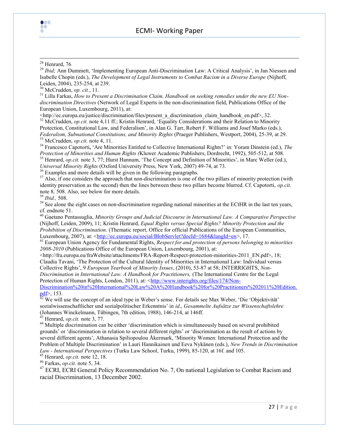

#### $\overline{\phantom{a}}$  $28$  Henrard, 76

<sup>29</sup> *Ibid*; Ann Dummett, 'Implementing European Anti-Discrimination Law: A Critical Analysis', in Jan Niessen and Isabelle Chopin (eds.), *The Development of Legal Instruments to Combat Racism in a Diverse Europe* (Nijhoff, Leiden, 2004), 235-254, at 239.

<sup>30</sup> McCrudden, *op. cit.*, 11.

<sup>31</sup> Lilla Farkas, *How to Present a Discrimination Claim, Handbook on seeking remedies under the new EU Nondiscrimination Directives* (Network of Legal Experts in the non-discrimination field, Publications Office of the European Union, Luxembourg, 2011), at:

<http://ec.europa.eu/justice/discrimination/files/present\_a\_discrimination\_claim\_handbook\_en.pdf>, 32. <sup>32</sup> McCrudden, *op.cit.* note 4,11 ff.; Kristin Henrard, 'Equality Considerations and their Relation to Minority Protection, Constitutional Law, and Federalism', in Alan G. Tarr, Robert F. Williams and Josef Marko (eds.), *Federalism, Subnational Constitutions, and Minority Rights* (Praeger Publishers, Westport, 2004), 25-39, at 29. <sup>33</sup> McCrudden, *op.cit.* note 4, 11.

<sup>34</sup> Francesco Capotorti**,** 'Are Minorities Entitled to Collective International Rights?' in: Yoram Dinstein (ed.), *The Protection of Minorities and Human Rights (*Kluwer Academic Publishers, Dordrecht, 1992), 505-512, at 508.

<sup>35</sup> Henrard, *op.cit.* note 3, 77; Hurst Hannum, 'The Concept and Definition of Minorities', in Marc Weller (ed.), *Universal Minority Rights* (Oxford University Press, New York, 2007) 49-74, at 73.

<sup>36</sup> Examples and more details will be given in the following paragraphs.

 $37$  Also, if one considers the approach that non-discrimination is one of the two pillars of minority protection (with identity preservation as the second) then the lines between these two pillars become blurred. Cf. Capotorti, *op.cit.* note 8*,* 508. Also, see below for more details.

<sup>38</sup> *Ibid.,* 508.

<sup>39</sup> See alone the eight cases on non-discrimination regarding national minorities at the ECtHR in the last ten years, cf. endnote 51.

<sup>40</sup> Gaetano Pentassuglia, *Minority Groups and Judicial Discourse in International Law. A Comparative Perspective*  (Nijhoff, Leiden, 2009), 11; Kristin Henrard, *Equal Rights versus Special Rights? Minority Protection and the Prohibition of Discrimination.* (Thematic report, Office for official Publications of the European Communities, Luxembourg, 2007), at: [<http://ec.europa.eu/social/BlobServlet?docId=1684&langId=en>](http://ec.europa.eu/social/BlobServlet?docId=1684&langId=en), 17.

<sup>41</sup> European Union Agency for Fundamental Rights, *Respect for and protection of persons belonging to minorities 2008-2010* (Publications Office of the European Union, Luxembourg, 2001), at:

<http://fra.europa.eu/fraWebsite/attachments/FRA-Report-Respect-protection-minorities-2011\_EN.pdf>, 18; Claudia Tavani, 'The Protection of the Cultural Identity of Minorities in International Law: Individual versus Collective Rights', 9 *European Yearbook of Minority Issues*, (2010), 53-87 at 58; INTERRIGHTS, *Non-Discrimination in International Law. A Handbook for Practitioners,* (The International Centre for the Legal Protection of Human Rights, London, 2011), at: [<http://www.interights.org/files/174/Non-](http://www.interights.org/files/174/Non-Discrimination%20in%20International%20Law%20A%20Handbook%20for%20Practitioners%202011%20Edition.pdf)

[Discrimination%20in%20International%20Law%20A%20Handbook%20for%20Practitioners%202011%20Edition.](http://www.interights.org/files/174/Non-Discrimination%20in%20International%20Law%20A%20Handbook%20for%20Practitioners%202011%20Edition.pdf)  $pdf$ , 153.

 $42$  We will use the concept of an ideal type in Weber's sense. For details see Max Weber, 'Die 'Objektivität' sozialwissenschaftlicher und sozialpolitischer Erkenntnis' in *id*., *Gesammelte Aufsätze zur Wissenschaftslehre*  (Johannes Winckelmann, Tübingen, 7th edition, 1988), 146-214, at 146ff.

<sup>43</sup> Henrard, *op.cit.* note 3, 77.

<sup>44</sup> Multiple discrimination can be either 'discrimination which is simultaneously based on several prohibited grounds' or 'discrimination in relation to several different rights' or 'discrimination as the result of actions by several different agents', Athanasia Spiliopoulou Åkermark, 'Minority Women: International Protection and the Problem of Multiple Discrimination' in Lauri Hannikainen und Eeva Nykänen (eds.), *New Trends in Discrimination Law - International Perspectives* (Turku Law School, Turku, 1999), 85-120, at 16f. and 105.

<sup>45</sup> Henrard, *op.cit.* note 12, 18.

<sup>46</sup> Farkas, *op.cit.* note 5, 34.

<sup>47</sup> ECRI, ECRI General Policy Recommendation No. 7, On national Legislation to Combat Racism and racial Discrimination, 13 December 2002.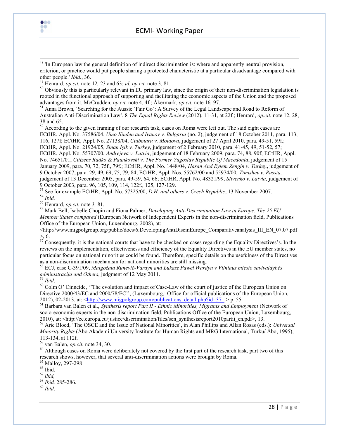



<sup>49</sup> Henrard, *op.cit.* note 12*,* 23 and 63; *id. op.cit.* note 3, 81.

 $50$  Obviously this is particularly relevant in EU primary law, since the origin of their non-discrimination legislation is rooted in the functional approach of supporting and facilitating the economic aspects of the Union and the proposed advantages from it. McCrudden, *op.cit.* note 4, 4f.; Åkermark, *op.cit.* note 16*,* 97.

<sup>51</sup> Anna Brown, 'Searching for the Aussie 'Fair Go': A Survey of the Legal Landscape and Road to Reform of Australian Anti-Discrimination Law', 8 *The Equal Rights Review* (2012), 11-31, at 22f.; Henrard, *op.cit.* note 12, 28, 38 and 65.

<sup>52</sup> According to the given framing of our research task, cases on Roma were left out. The said eight cases are ECtHR, Appl. No. 37586/04, *Umo Ilinden and Ivanov v. Bulgaria* (no. 2), judgement of 18 October 2011, para. 113, 116, 127f; ECtHR, Appl. No. 27138/04, *Ciubotaru v. Moldova***,** judgement of 27 April 2010, para. 49-51, 59f.; ECtHR, Appl. No. 21924/05, *Sinan Işik v. Turkey*, judgement of 2 February 2010, para. 41-45, 49, 51-52, 57; ECtHR, Appl. No. 55707/00, *Andrejeva v. Latvia*, judgement of 18 February 2009, para. 74, 88, 90f; ECtHR, Appl. No. 74651/01, *Citizens Radko & Paunkovski v. The Former Yugoslav Republic Of Macedonia*, judgement of 15 January 2009, para. 70, 72, 75f., 79f.; ECtHR, Appl. No. 1448/04, *Hasan And Eylem Zengin v. Turkey***,** judgement of 9 October 2007, para. 29, 49, 69, 75, 79, 84; ECtHR, Appl. Nos. 55762/00 and 55974/00, *Timishev v. Russia,* judgement of 13 December 2005, para. 49-59, 64, 66; ECtHR, Appl. No. 48321/99, *Slivenko v. Latvia,* judgement of 9 October 2003, para. 96, 105, 109, 114, 122f., 125, 127-129.

<sup>53</sup> See for example ECtHR, Appl. No. 57325/00, *D.H. and others v. Czech Republic*, 13 November 2007. <sup>54</sup> *Ibid.* 

<sup>55</sup> Henrard, *op.cit.* note 3*,* 81.

<sup>56</sup> Mark Bell, Isabelle Chopin and Fiona Palmer, *Developing Anti-Discrimination Law in Europe. The 25 EU Member States compared* (European Network of Independent Experts in the non-discrimination field, Publications Office of the European Union, Luxembourg, 2008), at:

 $\leq$ http://www.migpolgroup.org/public/docs/6.DevelopingAntiDiscinEurope\_Comparativeanalysis\_III\_EN\_07.07.pdf  $> 6.$ 

 $57$  Consequently, it is the national courts that have to be checked on cases regarding the Equality Directives's. In the reviews on the implementation, effectiveness and efficiency of the Equality Directives in the EU member states, no particular focus on national minorities could be found. Therefore, specific details on the usefulness of the Directives as a non-discrimination mechanism for national minorities are still missing.

<sup>58</sup> ECJ, case C-391/09, *Malgožata Runevič-Vardyn and Łukasz Paweł Wardyn v Vilniaus miesto savivaldybės administracija and Others*, judgment of 12 May 2011.

<sup>59</sup> *Ibid*.

 $\overline{\phantom{a}}$ 

000 ŌŌ

<sup>60</sup> Colm O' Cinneide, ''The evolution and impact of Case-Law of the court of justice of the European Union on Directive 2000/43/EC and 2000/78/EC'', (Luxembourg,: Office for official publications of the European Union, 2012), 02-2013, at:  $\langle \text{http://www.migpolgroup.com/publications\ detail.php?id=371} \rangle$  p. 55

<sup>61</sup> Barbara van Balen et al., *Synthesis report Part II - Ethnic Minorities, Migrants and Employment* (Network of socio-economic experts in the non-discrimination field, Publications Office of the European Union, Luxembourg, 2010), at: <http://ec.europa.eu/justice/discrimination/files/sen\_synthesisreport2010partii\_en.pdf>, 13.

<sup>62</sup> Arie Bloed, 'The OSCE and the Issue of National Minorities', in Alan Phillips and Allan Rosas (eds.): *Universal Minority Rights* (Åbo Akademi University Institute for Human Rights and MRG International, Turku/ Åbo, 1995), 113-134, at 112f.

<sup>63</sup> van Balen, *op.cit.* note 34, 30.

<sup>64</sup> Although cases on Roma were deliberately not covered by the first part of the research task, part two of this research shows, however, that several anti-discrimination actions were brought by Roma.

<sup>65</sup> Malloy, 297-298

 $66$  Ibid,

<sup>67</sup> *ibid,*

<sup>68</sup> *Ibid,* 285-286.

<sup>69</sup> *Ibid,*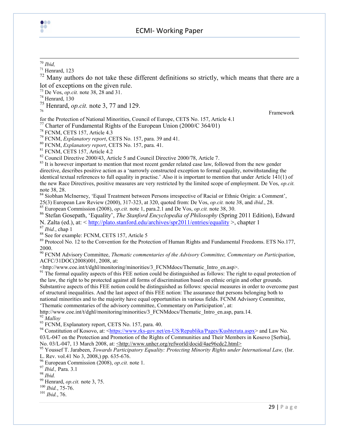

## ECMI- Working Paper

 $71$  Henrard, 123

 $72$  Many authors do not take these different definitions so strictly, which means that there are a lot of exceptions on the given rule.

<sup>73</sup> De Vos, *op.cit.* note 38, 28 and 31.

 $74$  Henrard, 130

<sup>75</sup> Henrard, *op.cit.* note 3, 77 and 129.

<sup>76</sup> Framework

for the Protection of National Minorities, Council of Europe, CETS No. 157, Article 4.1 <sup>77</sup> Charter of Fundamental Rights of the European Union (2000/C 364/01)

<sup>78</sup> FCNM, CETS 157, Article 4.3

<sup>79</sup> FCNM, *Explanatory report*, CETS No. 157, para. 39 and 41.

<sup>80</sup> FCNM, *Explanatory report*, CETS No. 157, para. 41.

<sup>81</sup> FCNM, CETS 157, Article 4.2

<sup>82</sup> Council Directive 2000/43, Article 5 and Council Directive 2000/78, Article 7.

<sup>83</sup> It is however important to mention that most recent gender related case law, followed from the new gender directive, describes positive action as a 'narrowly constructed exception to formal equality, notwithstanding the identical textual references to full equality in practise.' Also it is important to mention that under Article 141(1) of the new Race Directives, positive measures are very restricted by the limited scope of employment. De Vos, *op.cit.* note 38, 28.

84 Siobhan McInerney, 'Equal Treatment between Persons irrespective of Racial or Ethnic Origin: a Comment',

25(3) European Law Review (2000), 317-323, at 320, quoted from: De Vos, *op.cit.* note 38, and *ibid.*, 28.

<sup>85</sup> European Commission (2008), *op.cit.* note 1, para.2.1 and De Vos, *op.cit.* note 38, 30.

<sup>86</sup> Stefan Gosepath, 'Equality', *The Stanford Encyclopedia of Philosophy* (Spring 2011 Edition), Edward N. Zalta (ed.), at: <<http://plato.stanford.edu/archives/spr2011/entries/equality> >, chapter 1

<sup>87</sup> *Ibid.*, chap 1

<sup>88</sup> See for example: FCNM, CETS 157, Article 5

<sup>89</sup> Protocol No. 12 to the Convention for the Protection of Human Rights and Fundamental Freedoms. ETS No.177, 2000.

<sup>90</sup> FCNM Advisory Committee, *Thematic commentaries of the Advisory Committee, Commentary on Participation*, ACFC/31DOC(2008)001, 2008, at:

<http://www.coe.int/t/dghl/monitoring/minorities/3\_FCNMdocs/Thematic\_Intro\_en.asp>.

<sup>91</sup> The formal equality aspects of this FEE notion could be distinguished as follows: The right to equal protection of the law, the right to be protected against all forms of discrimination based on ethnic origin and other grounds.

Substantive aspects of this FEE notion could be distinguished as follows: special measures in order to overcome past of structural inequalities. And the last aspect of this FEE notion: The assurance that persons belonging both to national minorities and to the majority have equal opportunities in various fields. FCNM Advisory Committee, 'Thematic commentaries of the advisory committee, Commentary on Participation', at:

http://www.coe.int/t/dghl/monitoring/minorities/3\_FCNMdocs/Thematic\_Intro\_en.asp, para.14. <sup>92</sup> *Malloy*

93 FCNM, Explanatory report, CETS No. 157, para. 40.

<sup>94</sup> Constitution of Kosovo, at: [<https://www.rks-gov.net/en-US/Republika/Pages/Kushtetuta.aspx>](https://www.rks-gov.net/en-US/Republika/Pages/Kushtetuta.aspx) and Law No. 03/L-047 on the Protection and Promotion of the Rights of Communities and Their Members in Kosovo [Serbia], No. 03/L-047, 13 March 2008, at: <http://www.unhcr.org/refworld/docid/4ae96cdc2.html>

<sup>95</sup> Youssef T. Jarabeen, *Towards Participatory Equality: Protecting Minority Rights under International Law,* (Isr. L. Rev. vol.41 No 3, 2008,) pp. 635-676.

<sup>96</sup> European Commission (2008), *op.cit.* note 1.

<sup>97</sup> *Ibid.,* Para. 3.1

<sup>98</sup> *Ibid.*

<sup>99</sup> Henrard, *op.cit.* note 3, 75.

<sup>100</sup> *Ibid.*, 75-76.

<sup>101</sup> *Ibid.*, 76.

 $\overline{\phantom{a}}$ <sup>70</sup> *Ibid,*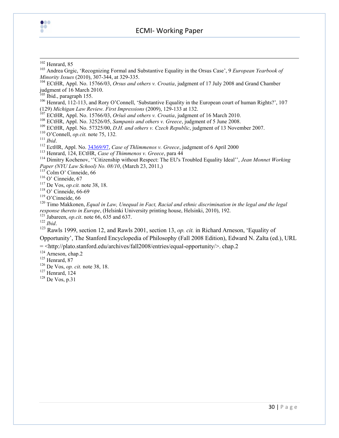

 $\overline{\phantom{a}}$ 

## ECMI- Working Paper

O'Connell, *op.cit.* note 75, 132*.*

*Ibid*.

EctHR, Appl. No[. 34369/97,](http://hudoc.echr.coe.int/sites/eng/pages/search.aspx#{) *Case of Thlimmenos v. Greece*, judgment of 6 April 2000

Henrard, 124, ECtHR, *Case of Thimmenos v. Greece*, para 44

Colm O' Cinneide, 66

- De Vos, *op.cit.* note 38, 18.
- O' Cinneide, 66-69

O'Cinneide, 66

<sup>120</sup> Timo Makkonen, *Equal in Law, Unequal in Fact, Racial and ethnic discrimination in the legal and the legal response thereto in Europe*, (Helsinki University printing house, Helsinki, 2010), 192.

Jabareen, *op.cit*. note 66, 635 and 637.

*Ibid*.

 Rawls 1999, section 12, and Rawls 2001, section 13, *op. cit.* in Richard Arneson, 'Equality of Opportunity', The Stanford Encyclopedia of Philosophy (Fall 2008 Edition), Edward N. Zalta (ed.), URL

= <http://plato.stanford.edu/archives/fall2008/entries/equal-opportunity/>. chap.2

Arneson, chap.2

Henrard, 87

De Vos, *op. cit.* note 38, 18.

Henrard, 124

De Vos, p.31

Henrard, 85

 Andrea Grgic, 'Recognizing Formal and Substantive Equality in the Orsus Case', 9 *European Yearbook of Minority Issues* (2010), 307-344, at 329-335.

 ECtHR, Appl. No. 15766/03, *Orsus and others v. Croatia*, judgment of 17 July 2008 and Grand Chamber judgment of 16 March 2010.

Ibid., paragraph 155.

<sup>&</sup>lt;sup>106</sup> Henrard, 112-113, and Rory O'Connell, 'Substantive Equality in the European court of human Rights?', 107 (129) *Michigan Law Review. First Impressions* (2009), 129-133 at 132.

ECtHR, Appl. No. 15766/03, *Oršuš and others v. Croatia*, judgment of 16 March 2010.

ECtHR, Appl. No. 32526/05, *Sampanis and others v. Greece*, judgment of 5 June 2008.

ECtHR, Appl. No. 57325/00, *D.H. and others v. Czech Republic*, judgment of 13 November 2007.

 Dimitry Kochenov, ''Citizenship without Respect: The EU's Troubled Equality Ideal'', *Jean Monnet Working Paper (NYU Law School) No. 08/10*, (March 23, 2011,)

O' Cinneide, 67